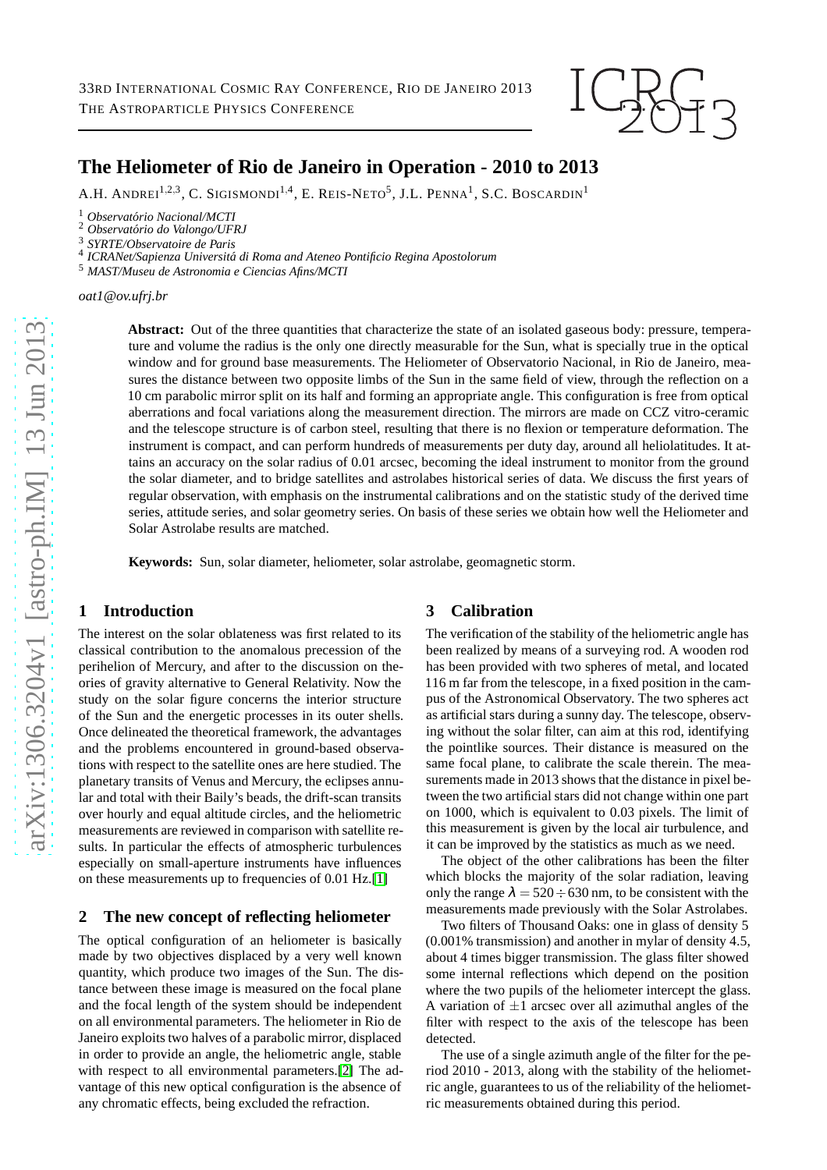

# **The Heliometer of Rio de Janeiro in Operation - 2010 to 2013**

A.H. ANDREI<sup>1,2,3</sup>, C. Sigismondi<sup>1,4</sup>, E. Reis-Neto<sup>5</sup>, J.L. Penna<sup>1</sup>, S.C. Boscardin<sup>1</sup>

<sup>1</sup> *Observat´orio Nacional/MCTI*

<sup>2</sup> Observatório do Valongo/UFRJ

<sup>3</sup> *SYRTE/Observatoire de Paris*

<sup>4</sup> ICRANet/Sapienza Universitá di Roma and Ateneo Pontificio Regina Apostolorum

<sup>5</sup> *MAST/Museu de Astronomia e Ciencias Afins/MCTI*

*oat1@ov.ufrj.br*

**Abstract:** Out of the three quantities that characterize the state of an isolated gaseous body: pressure, temperature and volume the radius is the only one directly measurable for the Sun, what is specially true in the optical window and for ground base measurements. The Heliometer of Observatorio Nacional, in Rio de Janeiro, measures the distance between two opposite limbs of the Sun in the same field of view, through the reflection on a 10 cm parabolic mirror split on its half and forming an appropriate angle. This configuration is free from optical aberrations and focal variations along the measurement direction. The mirrors are made on CCZ vitro-ceramic and the telescope structure is of carbon steel, resulting that there is no flexion or temperature deformation. The instrument is compact, and can perform hundreds of measurements per duty day, around all heliolatitudes. It attains an accuracy on the solar radius of 0.01 arcsec, becoming the ideal instrument to monitor from the ground the solar diameter, and to bridge satellites and astrolabes historical series of data. We discuss the first years of regular observation, with emphasis on the instrumental calibrations and on the statistic study of the derived time series, attitude series, and solar geometry series. On basis of these series we obtain how well the Heliometer and Solar Astrolabe results are matched.

**Keywords:** Sun, solar diameter, heliometer, solar astrolabe, geomagnetic storm.

#### **1 Introduction**

The interest on the solar oblateness was first related to its classical contribution to the anomalous precession of the perihelion of Mercury, and after to the discussion on theories of gravity alternative to General Relativity. Now the study on the solar figure concerns the interior structure of the Sun and the energetic processes in its outer shells. Once delineated the theoretical framework, the advantages and the problems encountered in ground-based observations with respect to the satellite ones are here studied. The planetary transits of Venus and Mercury, the eclipses annular and total with their Baily's beads, the drift-scan transits over hourly and equal altitude circles, and the heliometric measurements are reviewed in comparison with satellite results. In particular the effects of atmospheric turbulences especially on small-aperture instruments have influences on these measurements up to frequencies of 0.01 Hz.[\[1\]](#page-1-0)

#### **2 The new concept of reflecting heliometer**

The optical configuration of an heliometer is basically made by two objectives displaced by a very well known quantity, which produce two images of the Sun. The distance between these image is measured on the focal plane and the focal length of the system should be independent on all environmental parameters. The heliometer in Rio de Janeiro exploits two halves of a parabolic mirror, displaced in order to provide an angle, the heliometric angle, stable with respect to all environmental parameters.[\[2\]](#page-1-1) The advantage of this new optical configuration is the absence of any chromatic effects, being excluded the refraction.

### **3 Calibration**

The verification of the stability of the heliometric angle has been realized by means of a surveying rod. A wooden rod has been provided with two spheres of metal, and located 116 m far from the telescope, in a fixed position in the campus of the Astronomical Observatory. The two spheres act as artificial stars during a sunny day. The telescope, observing without the solar filter, can aim at this rod, identifying the pointlike sources. Their distance is measured on the same focal plane, to calibrate the scale therein. The measurements made in 2013 shows that the distance in pixel between the two artificial stars did not change within one part on 1000, which is equivalent to 0.03 pixels. The limit of this measurement is given by the local air turbulence, and it can be improved by the statistics as much as we need.

The object of the other calibrations has been the filter which blocks the majority of the solar radiation, leaving only the range  $\lambda = 520 \div 630$  nm, to be consistent with the measurements made previously with the Solar Astrolabes.

Two filters of Thousand Oaks: one in glass of density 5 (0.001% transmission) and another in mylar of density 4.5, about 4 times bigger transmission. The glass filter showed some internal reflections which depend on the position where the two pupils of the heliometer intercept the glass. A variation of  $\pm 1$  arcsec over all azimuthal angles of the filter with respect to the axis of the telescope has been detected.

The use of a single azimuth angle of the filter for the period 2010 - 2013, along with the stability of the heliometric angle, guarantees to us of the reliability of the heliometric measurements obtained during this period.